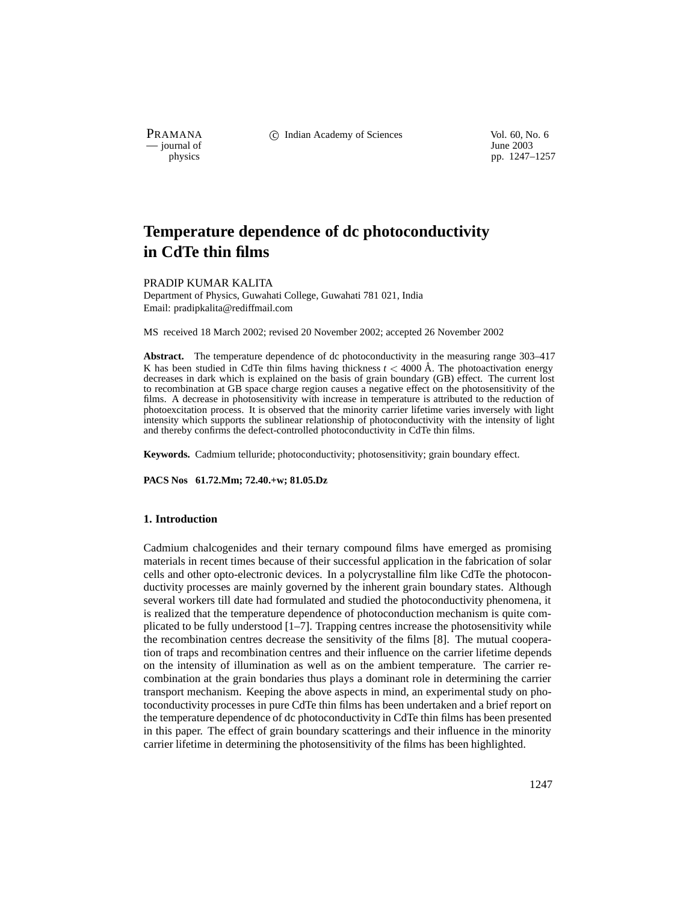$\frac{1}{\text{p}}$  journal of

PRAMANA 
<sup>c</sup> Indian Academy of Sciences 
<sup>Vol. 60, No. 6
<sup>1</sup> June 2003</sup>

pp. 1247–1257

# **Temperature dependence of dc photoconductivity in CdTe thin films**

# PRADIP KUMAR KALITA

Department of Physics, Guwahati College, Guwahati 781 021, India Email: pradipkalita@rediffmail.com

MS received 18 March 2002; revised 20 November 2002; accepted 26 November 2002

**Abstract.** The temperature dependence of dc photoconductivity in the measuring range 303–417 K has been studied in CdTe thin films having thickness  $t < 4000 \text{ Å}$ . The photoactivation energy decreases in dark which is explained on the basis of grain boundary (GB) effect. The current lost to recombination at GB space charge region causes a negative effect on the photosensitivity of the films. A decrease in photosensitivity with increase in temperature is attributed to the reduction of photoexcitation process. It is observed that the minority carrier lifetime varies inversely with light intensity which supports the sublinear relationship of photoconductivity with the intensity of light and thereby confirms the defect-controlled photoconductivity in CdTe thin films.

**Keywords.** Cadmium telluride; photoconductivity; photosensitivity; grain boundary effect.

**PACS Nos 61.72.Mm; 72.40.+w; 81.05.Dz**

# **1. Introduction**

Cadmium chalcogenides and their ternary compound films have emerged as promising materials in recent times because of their successful application in the fabrication of solar cells and other opto-electronic devices. In a polycrystalline film like CdTe the photoconductivity processes are mainly governed by the inherent grain boundary states. Although several workers till date had formulated and studied the photoconductivity phenomena, it is realized that the temperature dependence of photoconduction mechanism is quite complicated to be fully understood [1–7]. Trapping centres increase the photosensitivity while the recombination centres decrease the sensitivity of the films [8]. The mutual cooperation of traps and recombination centres and their influence on the carrier lifetime depends on the intensity of illumination as well as on the ambient temperature. The carrier recombination at the grain bondaries thus plays a dominant role in determining the carrier transport mechanism. Keeping the above aspects in mind, an experimental study on photoconductivity processes in pure CdTe thin films has been undertaken and a brief report on the temperature dependence of dc photoconductivity in CdTe thin films has been presented in this paper. The effect of grain boundary scatterings and their influence in the minority carrier lifetime in determining the photosensitivity of the films has been highlighted.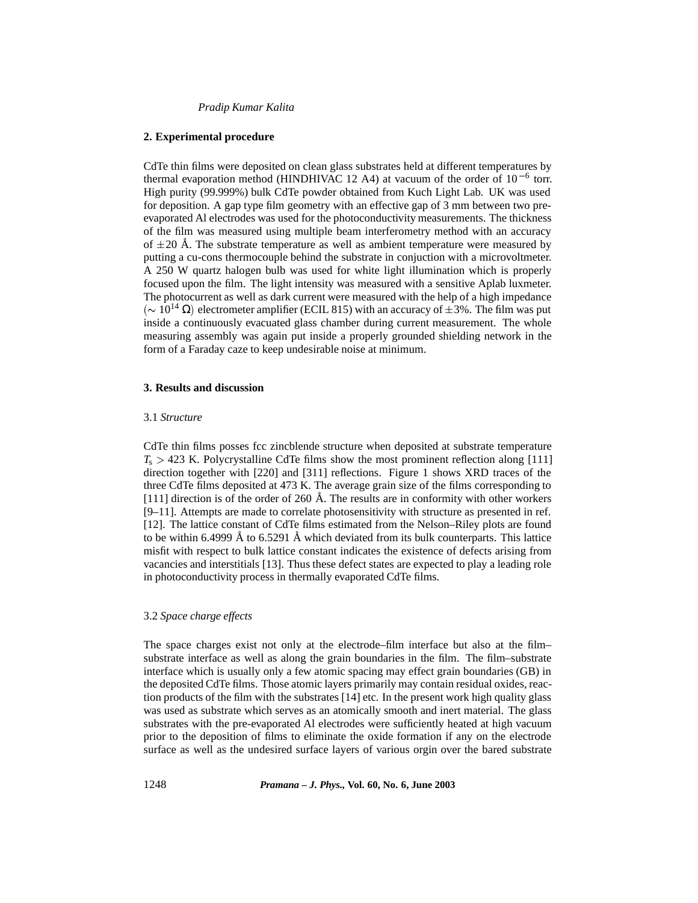## **2. Experimental procedure**

CdTe thin films were deposited on clean glass substrates held at different temperatures by thermal evaporation method (HINDHIVAC 12 A4) at vacuum of the order of  $10^{-6}$  torr. High purity (99.999%) bulk CdTe powder obtained from Kuch Light Lab. UK was used for deposition. A gap type film geometry with an effective gap of 3 mm between two preevaporated Al electrodes was used for the photoconductivity measurements. The thickness of the film was measured using multiple beam interferometry method with an accuracy of  $\pm 20$  Å. The substrate temperature as well as ambient temperature were measured by putting a cu-cons thermocouple behind the substrate in conjuction with a microvoltmeter. A 250 W quartz halogen bulb was used for white light illumination which is properly focused upon the film. The light intensity was measured with a sensitive Aplab luxmeter. The photocurrent as well as dark current were measured with the help of a high impedance  $({\sim 10^{14} \Omega})$  electrometer amplifier (ECIL 815) with an accuracy of  $\pm 3%$ . The film was put inside a continuously evacuated glass chamber during current measurement. The whole measuring assembly was again put inside a properly grounded shielding network in the form of a Faraday caze to keep undesirable noise at minimum.

# **3. Results and discussion**

#### 3.1 *Structure*

CdTe thin films posses fcc zincblende structure when deposited at substrate temperature  $T_s > 423$  K. Polycrystalline CdTe films show the most prominent reflection along [111] direction together with [220] and [311] reflections. Figure 1 shows XRD traces of the three CdTe films deposited at 473 K. The average grain size of the films corresponding to [111] direction is of the order of 260  $\AA$ . The results are in conformity with other workers [9–11]. Attempts are made to correlate photosensitivity with structure as presented in ref. [12]. The lattice constant of CdTe films estimated from the Nelson–Riley plots are found to be within 6.4999 Å to 6.5291 Å which deviated from its bulk counterparts. This lattice misfit with respect to bulk lattice constant indicates the existence of defects arising from vacancies and interstitials [13]. Thus these defect states are expected to play a leading role in photoconductivity process in thermally evaporated CdTe films.

# 3.2 *Space charge effects*

The space charges exist not only at the electrode–film interface but also at the film– substrate interface as well as along the grain boundaries in the film. The film–substrate interface which is usually only a few atomic spacing may effect grain boundaries (GB) in the deposited CdTe films. Those atomic layers primarily may contain residual oxides, reaction products of the film with the substrates [14] etc. In the present work high quality glass was used as substrate which serves as an atomically smooth and inert material. The glass substrates with the pre-evaporated Al electrodes were sufficiently heated at high vacuum prior to the deposition of films to eliminate the oxide formation if any on the electrode surface as well as the undesired surface layers of various orgin over the bared substrate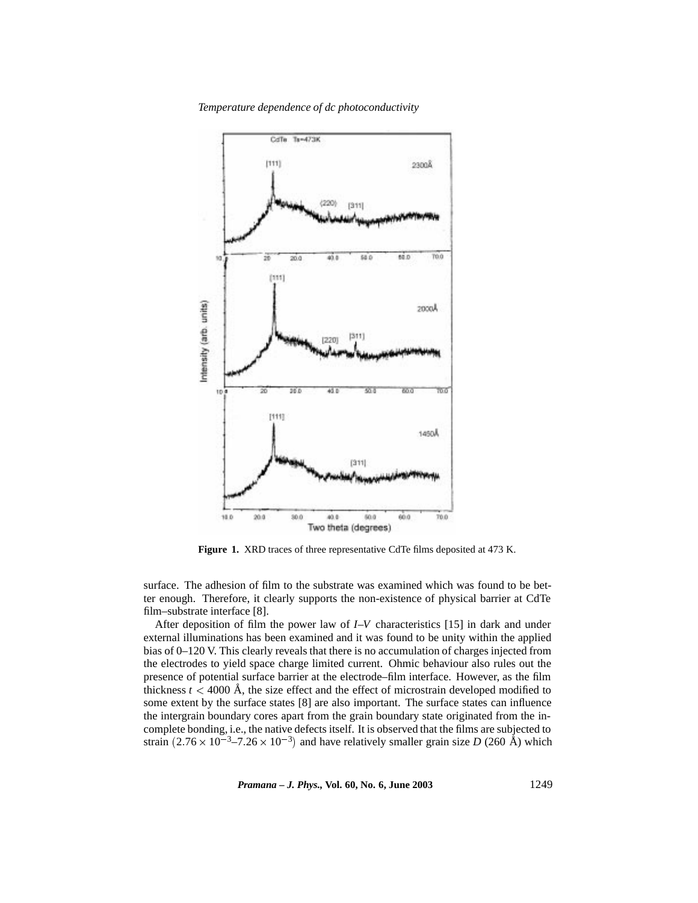

*Temperature dependence of dc photoconductivity*

Figure 1. XRD traces of three representative CdTe films deposited at 473 K.

surface. The adhesion of film to the substrate was examined which was found to be better enough. Therefore, it clearly supports the non-existence of physical barrier at CdTe film–substrate interface [8].

After deposition of film the power law of *I*–*V* characteristics [15] in dark and under external illuminations has been examined and it was found to be unity within the applied bias of 0–120 V. This clearly reveals that there is no accumulation of charges injected from the electrodes to yield space charge limited current. Ohmic behaviour also rules out the presence of potential surface barrier at the electrode–film interface. However, as the film thickness  $t < 4000$  Å, the size effect and the effect of microstrain developed modified to some extent by the surface states [8] are also important. The surface states can influence the intergrain boundary cores apart from the grain boundary state originated from the incomplete bonding, i.e., the native defects itself. It is observed that the films are subjected to strain  $(2.76 \times 10^{-3} - 7.26 \times 10^{-3})$  and have relatively smaller grain size *D* (260 Å) which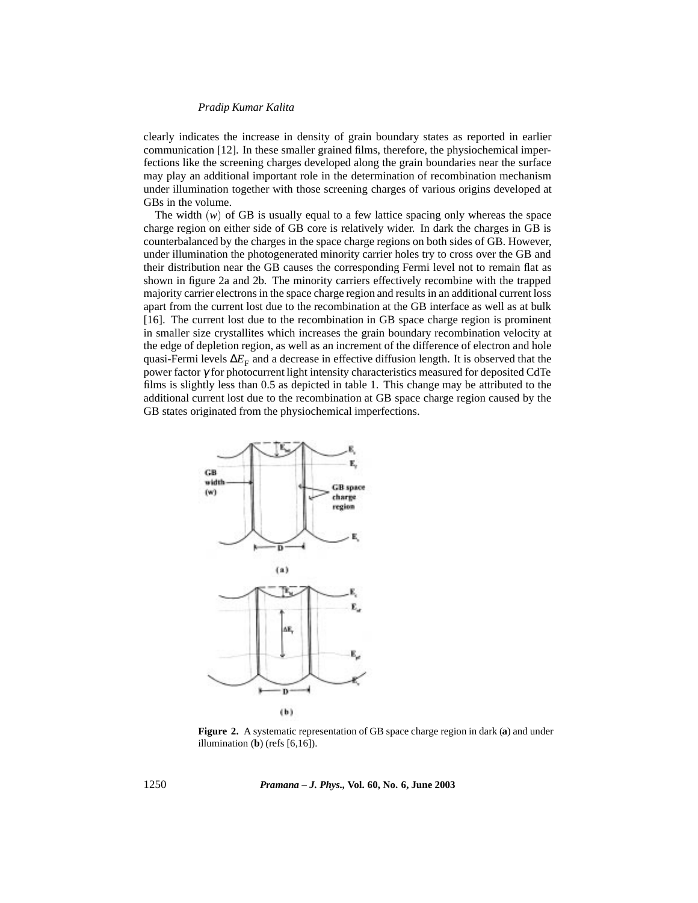clearly indicates the increase in density of grain boundary states as reported in earlier communication [12]. In these smaller grained films, therefore, the physiochemical imperfections like the screening charges developed along the grain boundaries near the surface may play an additional important role in the determination of recombination mechanism under illumination together with those screening charges of various origins developed at GBs in the volume.

The width  $(w)$  of GB is usually equal to a few lattice spacing only whereas the space charge region on either side of GB core is relatively wider. In dark the charges in GB is counterbalanced by the charges in the space charge regions on both sides of GB. However, under illumination the photogenerated minority carrier holes try to cross over the GB and their distribution near the GB causes the corresponding Fermi level not to remain flat as shown in figure 2a and 2b. The minority carriers effectively recombine with the trapped majority carrier electrons in the space charge region and results in an additional current loss apart from the current lost due to the recombination at the GB interface as well as at bulk [16]. The current lost due to the recombination in GB space charge region is prominent in smaller size crystallites which increases the grain boundary recombination velocity at the edge of depletion region, as well as an increment of the difference of electron and hole quasi-Fermi levels  $\Delta E_F$  and a decrease in effective diffusion length. It is observed that the power factor γ for photocurrent light intensity characteristics measured for deposited CdTe films is slightly less than 0.5 as depicted in table 1. This change may be attributed to the additional current lost due to the recombination at GB space charge region caused by the GB states originated from the physiochemical imperfections.



**Figure 2.** A systematic representation of GB space charge region in dark (**a**) and under illumination (**b**) (refs [6,16]).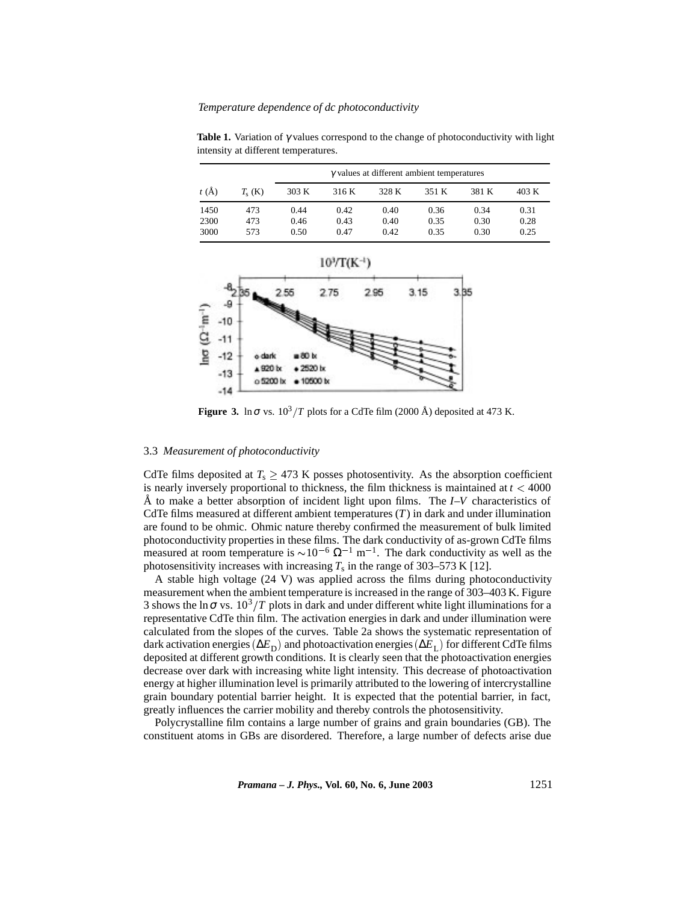**Table 1.** Variation of γ values correspond to the change of photoconductivity with light intensity at different temperatures.

|      |           | $\gamma$ values at different ambient temperatures |       |       |       |       |       |  |  |
|------|-----------|---------------------------------------------------|-------|-------|-------|-------|-------|--|--|
| t(A) | $T_s$ (K) | 303 K                                             | 316 K | 328 K | 351 K | 381 K | 403 K |  |  |
| 1450 | 473       | 0.44                                              | 0.42  | 0.40  | 0.36  | 0.34  | 0.31  |  |  |
| 2300 | 473       | 0.46                                              | 0.43  | 0.40  | 0.35  | 0.30  | 0.28  |  |  |
| 3000 | 573       | 0.50                                              | 0.47  | 0.42  | 0.35  | 0.30  | 0.25  |  |  |



**Figure 3.** ln $\sigma$  vs.  $10^3/T$  plots for a CdTe film (2000 Å) deposited at 473 K.

## 3.3 *Measurement of photoconductivity*

CdTe films deposited at  $T_s > 473$  K posses photosentivity. As the absorption coefficient is nearly inversely proportional to thickness, the film thickness is maintained at  $t < 4000$ Å to make a better absorption of incident light upon films. The  $I-V$  characteristics of CdTe films measured at different ambient temperatures  $(T)$  in dark and under illumination are found to be ohmic. Ohmic nature thereby confirmed the measurement of bulk limited photoconductivity properties in these films. The dark conductivity of as-grown CdTe films measured at room temperature is  $\sim 10^{-6} \Omega^{-1}$  m<sup>-1</sup>. The dark conductivity as well as the photosensitivity increases with increasing  $T_s$  in the range of 303–573 K [12].

A stable high voltage (24 V) was applied across the films during photoconductivity measurement when the ambient temperature is increased in the range of 303–403 K. Figure 3 shows the ln $\sigma$  vs.  $10^3/T$  plots in dark and under different white light illuminations for a representative CdTe thin film. The activation energies in dark and under illumination were calculated from the slopes of the curves. Table 2a shows the systematic representation of dark activation energies ( $\Delta E_D$ ) and photoactivation energies ( $\Delta E_L$ ) for different CdTe films deposited at different growth conditions. It is clearly seen that the photoactivation energies decrease over dark with increasing white light intensity. This decrease of photoactivation energy at higher illumination level is primarily attributed to the lowering of intercrystalline grain boundary potential barrier height. It is expected that the potential barrier, in fact, greatly influences the carrier mobility and thereby controls the photosensitivity.

Polycrystalline film contains a large number of grains and grain boundaries (GB). The constituent atoms in GBs are disordered. Therefore, a large number of defects arise due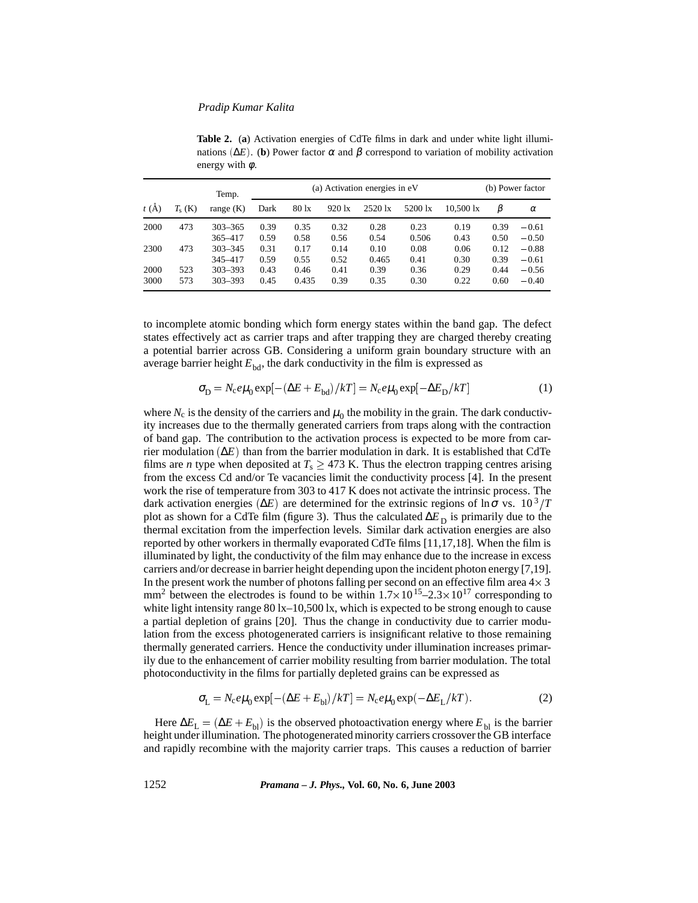**Table 2.** (**a**) Activation energies of CdTe films in dark and under white light illuminations ( $\Delta E$ ). (**b**) Power factor α and β correspond to variation of mobility activation energy with  $\phi$ .

|              |            | Temp.                      | (a) Activation energies in eV |                 |                  |               |               |                     | (b) Power factor |                    |
|--------------|------------|----------------------------|-------------------------------|-----------------|------------------|---------------|---------------|---------------------|------------------|--------------------|
| t(A)         | $T_s$ (K)  | range $(K)$                | Dark                          | $80 \text{ lx}$ | $920 \text{ lx}$ | 2520 lx       | 5200 lx       | $10.500 \text{ lx}$ | β                | $\alpha$           |
| 2000         | 473        | $303 - 365$<br>365-417     | 0.39<br>0.59                  | 0.35<br>0.58    | 0.32<br>0.56     | 0.28<br>0.54  | 0.23<br>0.506 | 0.19<br>0.43        | 0.39<br>0.50     | $-0.61$<br>$-0.50$ |
| 2300         | 473        | $303 - 345$<br>345-417     | 0.31<br>0.59                  | 0.17<br>0.55    | 0.14<br>0.52     | 0.10<br>0.465 | 0.08<br>0.41  | 0.06<br>0.30        | 0.12<br>0.39     | $-0.88$<br>$-0.61$ |
| 2000<br>3000 | 523<br>573 | $303 - 393$<br>$303 - 393$ | 0.43<br>0.45                  | 0.46<br>0.435   | 0.41<br>0.39     | 0.39<br>0.35  | 0.36<br>0.30  | 0.29<br>0.22        | 0.44<br>0.60     | $-0.56$<br>$-0.40$ |

to incomplete atomic bonding which form energy states within the band gap. The defect states effectively act as carrier traps and after trapping they are charged thereby creating a potential barrier across GB. Considering a uniform grain boundary structure with an average barrier height  $E_{bd}$ , the dark conductivity in the film is expressed as

$$
\sigma_{\rm D} = N_{\rm c} e \mu_0 \exp[-(\Delta E + E_{\rm bd})/kT] = N_{\rm c} e \mu_0 \exp[-\Delta E_{\rm D}/kT] \tag{1}
$$

where  $N_c$  is the density of the carriers and  $\mu_0$  the mobility in the grain. The dark conductivity increases due to the thermally generated carriers from traps along with the contraction of band gap. The contribution to the activation process is expected to be more from carrier modulation (∆*E* ) than from the barrier modulation in dark. It is established that CdTe films are *n* type when deposited at  $T_s \geq 473$  K. Thus the electron trapping centres arising from the excess Cd and/or Te vacancies limit the conductivity process [4]. In the present work the rise of temperature from 303 to 417 K does not activate the intrinsic process. The dark activation energies ( $\Delta E$ ) are determined for the extrinsic regions of ln $\sigma$  vs.  $10^3/T$ plot as shown for a CdTe film (figure 3). Thus the calculated ∆*E*<sub>D</sub> is primarily due to the thermal excitation from the imperfection levels. Similar dark activation energies are also reported by other workers in thermally evaporated CdTe films [11,17,18]. When the film is illuminated by light, the conductivity of the film may enhance due to the increase in excess carriers and/or decrease in barrier height depending upon the incident photon energy [7,19]. In the present work the number of photons falling per second on an effective film area  $4 \times 3$ mm<sup>2</sup> between the electrodes is found to be within  $1.7 \times 10^{15}$  –2.3  $\times 10^{17}$  corresponding to white light intensity range 80 lx-10,500 lx, which is expected to be strong enough to cause a partial depletion of grains [20]. Thus the change in conductivity due to carrier modulation from the excess photogenerated carriers is insignificant relative to those remaining thermally generated carriers. Hence the conductivity under illumination increases primarily due to the enhancement of carrier mobility resulting from barrier modulation. The total photoconductivity in the films for partially depleted grains can be expressed as

$$
\sigma_{\rm L} = N_{\rm c} e \mu_0 \exp[-(\Delta E + E_{\rm bl})/kT] = N_{\rm c} e \mu_0 \exp(-\Delta E_{\rm L}/kT). \tag{2}
$$

Here  $\Delta E_L = (\Delta E + E_{bl})$  is the observed photoactivation energy where  $E_{bl}$  is the barrier height under illumination. The photogenerated minority carriers crossover the GB interface and rapidly recombine with the majority carrier traps. This causes a reduction of barrier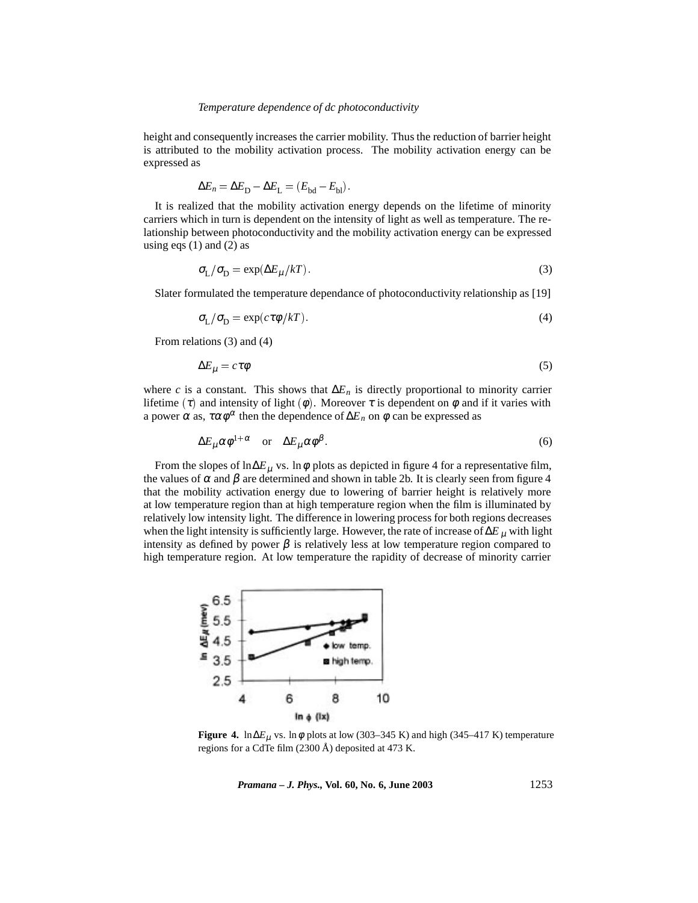## *Temperature dependence of dc photoconductivity*

height and consequently increases the carrier mobility. Thus the reduction of barrier height is attributed to the mobility activation process. The mobility activation energy can be expressed as

$$
\Delta E_n = \Delta E_{\rm D} - \Delta E_{\rm L} = (E_{\rm bd} - E_{\rm bl}).
$$

It is realized that the mobility activation energy depends on the lifetime of minority carriers which in turn is dependent on the intensity of light as well as temperature. The relationship between photoconductivity and the mobility activation energy can be expressed using eqs  $(1)$  and  $(2)$  as

$$
\sigma_{\rm L}/\sigma_{\rm D} = \exp(\Delta E_{\mu}/kT). \tag{3}
$$

Slater formulated the temperature dependance of photoconductivity relationship as [19]

$$
\sigma_{\rm L}/\sigma_{\rm D} = \exp(c\tau \phi / kT). \tag{4}
$$

From relations (3) and (4)

$$
\Delta E_{\mu} = c \tau \phi \tag{5}
$$

where *c* is a constant. This shows that  $\Delta E_n$  is directly proportional to minority carrier lifetime (τ) and intensity of light ( $\phi$ ). Moreover τ is dependent on  $\phi$  and if it varies with a power  $\alpha$  as,  $\tau \alpha \phi^{\alpha}$  then the dependence of  $\Delta E_n$  on  $\phi$  can be expressed as

$$
\Delta E_{\mu} \alpha \phi^{1+\alpha} \quad \text{or} \quad \Delta E_{\mu} \alpha \phi^{\beta}.
$$
 (6)

From the slopes of ln∆*E*<sub>µ</sub> vs. ln $\phi$  plots as depicted in figure 4 for a representative film, the values of  $\alpha$  and  $\beta$  are determined and shown in table 2b. It is clearly seen from figure 4 that the mobility activation energy due to lowering of barrier height is relatively more at low temperature region than at high temperature region when the film is illuminated by relatively low intensity light. The difference in lowering process for both regions decreases when the light intensity is sufficiently large. However, the rate of increase of∆*E* <sup>µ</sup> with light intensity as defined by power  $\beta$  is relatively less at low temperature region compared to high temperature region. At low temperature the rapidity of decrease of minority carrier



**Figure 4.** ln∆ $E_{\mu}$  vs. ln $\phi$  plots at low (303–345 K) and high (345–417 K) temperature regions for a CdTe film (2300 Å) deposited at 473 K.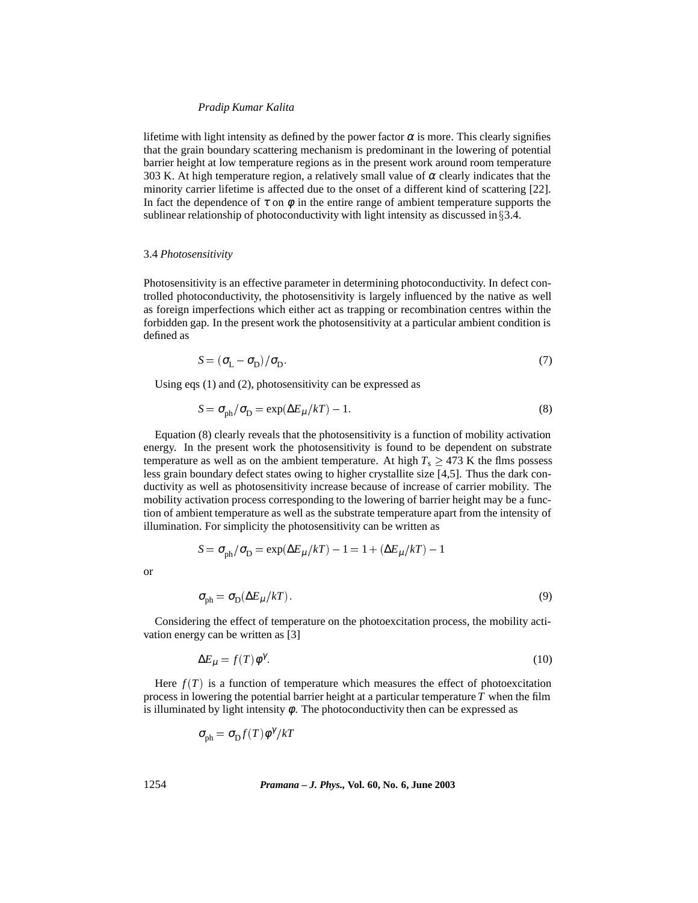lifetime with light intensity as defined by the power factor  $\alpha$  is more. This clearly signifies that the grain boundary scattering mechanism is predominant in the lowering of potential barrier height at low temperature regions as in the present work around room temperature 303 K. At high temperature region, a relatively small value of  $\alpha$  clearly indicates that the minority carrier lifetime is affected due to the onset of a different kind of scattering [22]. In fact the dependence of  $\tau$  on  $\phi$  in the entire range of ambient temperature supports the sublinear relationship of photoconductivity with light intensity as discussed in  $\S 3.4$ .

#### 3.4 *Photosensitivity*

Photosensitivity is an effective parameter in determining photoconductivity. In defect controlled photoconductivity, the photosensitivity is largely influenced by the native as well as foreign imperfections which either act as trapping or recombination centres within the forbidden gap. In the present work the photosensitivity at a particular ambient condition is defined as

$$
S = (\sigma_{\rm L} - \sigma_{\rm D})/\sigma_{\rm D}.\tag{7}
$$

Using eqs (1) and (2), photosensitivity can be expressed as

$$
S = \sigma_{\text{ph}}/\sigma_{\text{D}} = \exp(\Delta E_{\mu}/kT) - 1. \tag{8}
$$

Equation (8) clearly reveals that the photosensitivity is a function of mobility activation energy. In the present work the photosensitivity is found to be dependent on substrate temperature as well as on the ambient temperature. At high  $T_s \geq 473$  K the flms possess less grain boundary defect states owing to higher crystallite size [4,5]. Thus the dark conductivity as well as photosensitivity increase because of increase of carrier mobility. The mobility activation process corresponding to the lowering of barrier height may be a function of ambient temperature as well as the substrate temperature apart from the intensity of illumination. For simplicity the photosensitivity can be written as

$$
S = \sigma_{\text{ph}}/\sigma_{\text{D}} = \exp(\Delta E_{\mu}/kT) - 1 = 1 + (\Delta E_{\mu}/kT) - 1
$$

or

$$
\sigma_{\text{ph}} = \sigma_{\text{D}}(\Delta E_{\mu}/kT). \tag{9}
$$

Considering the effect of temperature on the photoexcitation process, the mobility activation energy can be written as [3]

$$
\Delta E_{\mu} = f(T)\phi^{\gamma}.\tag{10}
$$

Here  $f(T)$  is a function of temperature which measures the effect of photoexcitation process in lowering the potential barrier height at a particular temperature *T* when the film is illuminated by light intensity  $\phi$ . The photoconductivity then can be expressed as

$$
\sigma_{\text{ph}} = \sigma_{\text{D}} f(T) \phi^{\gamma} / kT
$$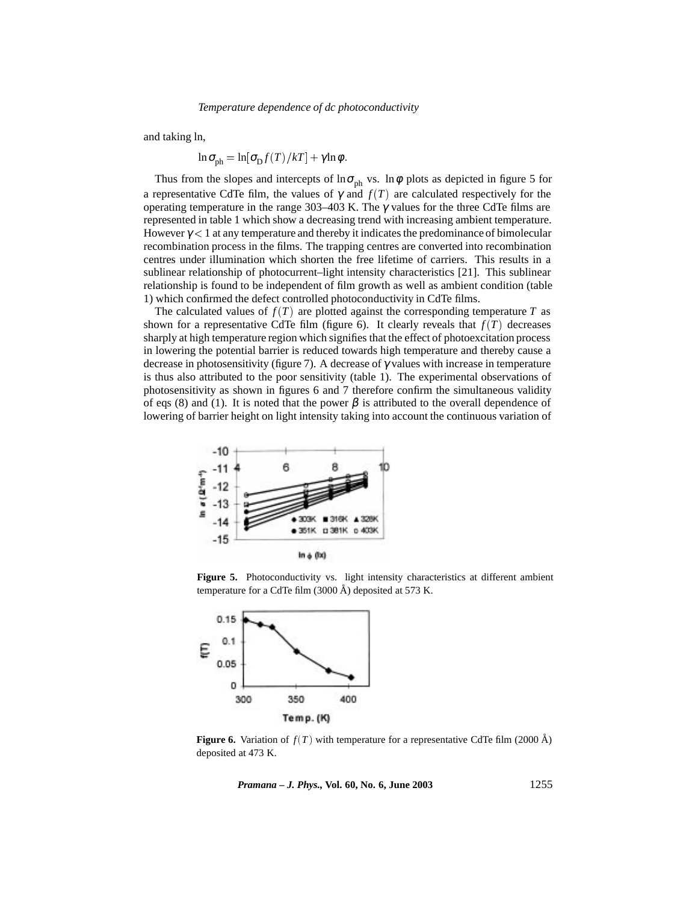and taking ln,

 $\ln \sigma_{\text{ph}} = \ln[\sigma_{\text{D}} f(T)/kT] + \gamma \ln \phi$ .

Thus from the slopes and intercepts of  $\ln \sigma_{ph}$  vs.  $\ln \phi$  plots as depicted in figure 5 for a representative CdTe film, the values of  $\gamma$  and  $f(T)$  are calculated respectively for the operating temperature in the range 303–403 K. The  $\gamma$  values for the three CdTe films are represented in table 1 which show a decreasing trend with increasing ambient temperature. However  $\gamma$  < 1 at any temperature and thereby it indicates the predominance of bimolecular recombination process in the films. The trapping centres are converted into recombination centres under illumination which shorten the free lifetime of carriers. This results in a sublinear relationship of photocurrent–light intensity characteristics [21]. This sublinear relationship is found to be independent of film growth as well as ambient condition (table 1) which confirmed the defect controlled photoconductivity in CdTe films.

The calculated values of  $f(T)$  are plotted against the corresponding temperature  $T$  as shown for a representative CdTe film (figure 6). It clearly reveals that  $f(T)$  decreases sharply at high temperature region which signifies that the effect of photoexcitation process in lowering the potential barrier is reduced towards high temperature and thereby cause a decrease in photosensitivity (figure 7). A decrease of  $\gamma$  values with increase in temperature is thus also attributed to the poor sensitivity (table 1). The experimental observations of photosensitivity as shown in figures 6 and 7 therefore confirm the simultaneous validity of eqs (8) and (1). It is noted that the power  $\beta$  is attributed to the overall dependence of lowering of barrier height on light intensity taking into account the continuous variation of



Figure 5. Photoconductivity vs. light intensity characteristics at different ambient temperature for a CdTe film  $(3000 \text{ Å})$  deposited at 573 K.



**Figure 6.** Variation of  $f(T)$  with temperature for a representative CdTe film (2000 Å) deposited at 473 K.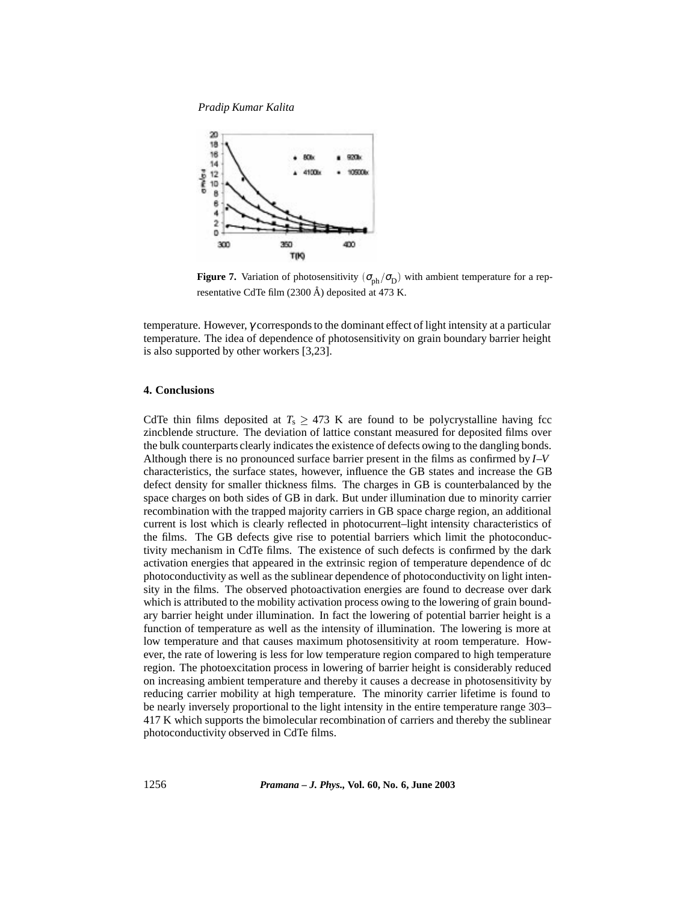*Pradip Kumar Kalita*



**Figure 7.** Variation of photosensitivity  $(\sigma_{ph}/\sigma_D)$  with ambient temperature for a representative CdTe film  $(2300 \text{ Å})$  deposited at 473 K.

temperature. However, γ corresponds to the dominant effect of light intensity at a particular temperature. The idea of dependence of photosensitivity on grain boundary barrier height is also supported by other workers [3,23].

## **4. Conclusions**

CdTe thin films deposited at  $T_s \geq 473$  K are found to be polycrystalline having fcc zincblende structure. The deviation of lattice constant measured for deposited films over the bulk counterparts clearly indicates the existence of defects owing to the dangling bonds. Although there is no pronounced surface barrier present in the films as confirmed by *I*–*V* characteristics, the surface states, however, influence the GB states and increase the GB defect density for smaller thickness films. The charges in GB is counterbalanced by the space charges on both sides of GB in dark. But under illumination due to minority carrier recombination with the trapped majority carriers in GB space charge region, an additional current is lost which is clearly reflected in photocurrent–light intensity characteristics of the films. The GB defects give rise to potential barriers which limit the photoconductivity mechanism in CdTe films. The existence of such defects is confirmed by the dark activation energies that appeared in the extrinsic region of temperature dependence of dc photoconductivity as well as the sublinear dependence of photoconductivity on light intensity in the films. The observed photoactivation energies are found to decrease over dark which is attributed to the mobility activation process owing to the lowering of grain boundary barrier height under illumination. In fact the lowering of potential barrier height is a function of temperature as well as the intensity of illumination. The lowering is more at low temperature and that causes maximum photosensitivity at room temperature. However, the rate of lowering is less for low temperature region compared to high temperature region. The photoexcitation process in lowering of barrier height is considerably reduced on increasing ambient temperature and thereby it causes a decrease in photosensitivity by reducing carrier mobility at high temperature. The minority carrier lifetime is found to be nearly inversely proportional to the light intensity in the entire temperature range 303– 417 K which supports the bimolecular recombination of carriers and thereby the sublinear photoconductivity observed in CdTe films.